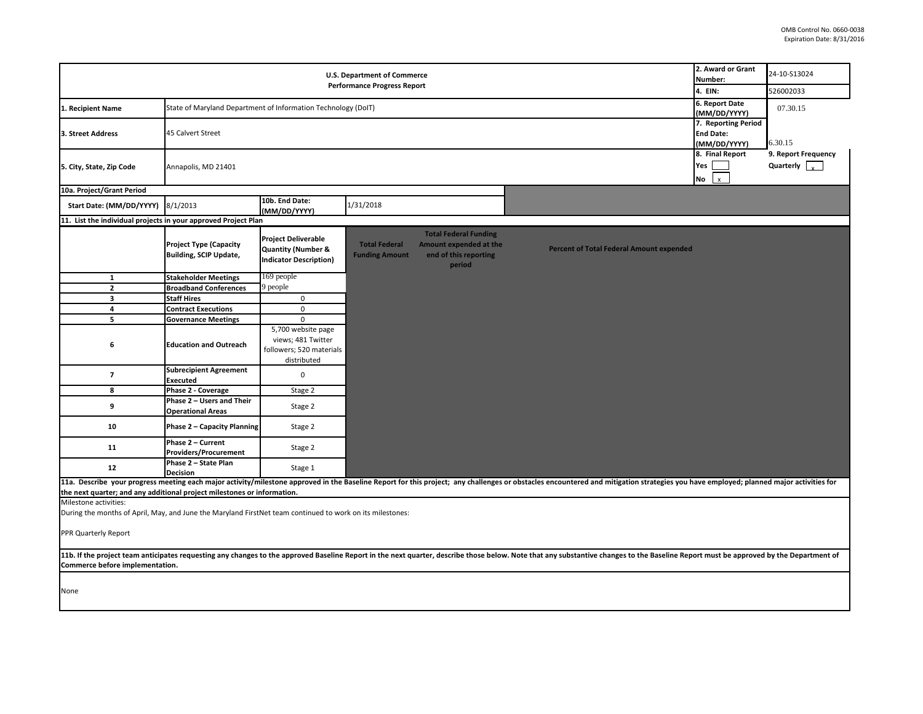| <b>U.S. Department of Commerce</b><br><b>Performance Progress Report</b>                                                                                                                                                                                          |                                                                |                                                                                              |                                               |                                                                                           | 2. Award or Grant<br>Number:                                                                                                                                                                                                   | 24-10-S13024                        |                      |
|-------------------------------------------------------------------------------------------------------------------------------------------------------------------------------------------------------------------------------------------------------------------|----------------------------------------------------------------|----------------------------------------------------------------------------------------------|-----------------------------------------------|-------------------------------------------------------------------------------------------|--------------------------------------------------------------------------------------------------------------------------------------------------------------------------------------------------------------------------------|-------------------------------------|----------------------|
|                                                                                                                                                                                                                                                                   |                                                                |                                                                                              |                                               |                                                                                           | 4. EIN:                                                                                                                                                                                                                        | 526002033                           |                      |
| State of Maryland Department of Information Technology (DoIT)<br>1. Recipient Name                                                                                                                                                                                |                                                                |                                                                                              |                                               | 6. Report Date<br>(MM/DD/YYYY)                                                            | 07.30.15                                                                                                                                                                                                                       |                                     |                      |
|                                                                                                                                                                                                                                                                   |                                                                |                                                                                              |                                               | 7. Reporting Period                                                                       |                                                                                                                                                                                                                                |                                     |                      |
| 3. Street Address                                                                                                                                                                                                                                                 | 45 Calvert Street                                              |                                                                                              |                                               |                                                                                           |                                                                                                                                                                                                                                | <b>End Date:</b><br>(MM/DD/YYYY)    | 6.30.15              |
|                                                                                                                                                                                                                                                                   |                                                                |                                                                                              |                                               |                                                                                           |                                                                                                                                                                                                                                |                                     | 9. Report Frequency  |
| 5. City, State, Zip Code                                                                                                                                                                                                                                          | Annapolis, MD 21401                                            |                                                                                              |                                               |                                                                                           |                                                                                                                                                                                                                                | 8. Final Report<br>Yes<br><b>No</b> | Quarterly $\sqrt{ }$ |
| 10a. Project/Grant Period                                                                                                                                                                                                                                         |                                                                |                                                                                              |                                               |                                                                                           |                                                                                                                                                                                                                                |                                     |                      |
| Start Date: (MM/DD/YYYY)                                                                                                                                                                                                                                          | 8/1/2013                                                       | 10b. End Date:<br>(MM/DD/YYYY)                                                               | 1/31/2018                                     |                                                                                           |                                                                                                                                                                                                                                |                                     |                      |
| 11. List the individual projects in your approved Project Plan                                                                                                                                                                                                    |                                                                |                                                                                              |                                               |                                                                                           |                                                                                                                                                                                                                                |                                     |                      |
|                                                                                                                                                                                                                                                                   | <b>Project Type (Capacity</b><br><b>Building, SCIP Update,</b> | <b>Project Deliverable</b><br><b>Quantity (Number &amp;</b><br><b>Indicator Description)</b> | <b>Total Federal</b><br><b>Funding Amount</b> | <b>Total Federal Funding</b><br>Amount expended at the<br>end of this reporting<br>period | <b>Percent of Total Federal Amount expended</b>                                                                                                                                                                                |                                     |                      |
| $\mathbf{1}$                                                                                                                                                                                                                                                      | <b>Stakeholder Meetings</b>                                    | 169 people                                                                                   |                                               |                                                                                           |                                                                                                                                                                                                                                |                                     |                      |
| $\overline{2}$                                                                                                                                                                                                                                                    | <b>Broadband Conferences</b>                                   | 9 people                                                                                     |                                               |                                                                                           |                                                                                                                                                                                                                                |                                     |                      |
| $\overline{\mathbf{3}}$                                                                                                                                                                                                                                           | <b>Staff Hires</b>                                             | $\mathbf 0$                                                                                  |                                               |                                                                                           |                                                                                                                                                                                                                                |                                     |                      |
| 4                                                                                                                                                                                                                                                                 | <b>Contract Executions</b>                                     | $\mathbf 0$                                                                                  |                                               |                                                                                           |                                                                                                                                                                                                                                |                                     |                      |
| 5                                                                                                                                                                                                                                                                 | <b>Governance Meetings</b>                                     | $\mathbf{0}$<br>5,700 website page                                                           |                                               |                                                                                           |                                                                                                                                                                                                                                |                                     |                      |
| 6                                                                                                                                                                                                                                                                 | <b>Education and Outreach</b>                                  | views; 481 Twitter<br>followers; 520 materials<br>distributed                                |                                               |                                                                                           |                                                                                                                                                                                                                                |                                     |                      |
| $\overline{\phantom{a}}$                                                                                                                                                                                                                                          | <b>Subrecipient Agreement</b><br>Executed                      | $\mathbf 0$                                                                                  |                                               |                                                                                           |                                                                                                                                                                                                                                |                                     |                      |
| 8                                                                                                                                                                                                                                                                 | Phase 2 - Coverage                                             | Stage 2                                                                                      |                                               |                                                                                           |                                                                                                                                                                                                                                |                                     |                      |
| 9                                                                                                                                                                                                                                                                 | Phase 2 - Users and Their<br><b>Operational Areas</b>          | Stage 2                                                                                      |                                               |                                                                                           |                                                                                                                                                                                                                                |                                     |                      |
| 10                                                                                                                                                                                                                                                                | <b>Phase 2 - Capacity Planning</b>                             | Stage 2                                                                                      |                                               |                                                                                           |                                                                                                                                                                                                                                |                                     |                      |
| 11                                                                                                                                                                                                                                                                | Phase 2 - Current<br><b>Providers/Procurement</b>              | Stage 2                                                                                      |                                               |                                                                                           |                                                                                                                                                                                                                                |                                     |                      |
| 12                                                                                                                                                                                                                                                                | Phase 2 - State Plan<br><b>Decision</b>                        | Stage 1                                                                                      |                                               |                                                                                           |                                                                                                                                                                                                                                |                                     |                      |
|                                                                                                                                                                                                                                                                   |                                                                |                                                                                              |                                               |                                                                                           | 11a. Describe your progress meeting each major activity/milestone approved in the Baseline Report for this project; any challenges or obstacles encountered and mitigation strategies you have employed; planned major activit |                                     |                      |
| the next quarter; and any additional project milestones or information.<br>Milestone activities:                                                                                                                                                                  |                                                                |                                                                                              |                                               |                                                                                           |                                                                                                                                                                                                                                |                                     |                      |
| During the months of April, May, and June the Maryland FirstNet team continued to work on its milestones:                                                                                                                                                         |                                                                |                                                                                              |                                               |                                                                                           |                                                                                                                                                                                                                                |                                     |                      |
| PPR Quarterly Report                                                                                                                                                                                                                                              |                                                                |                                                                                              |                                               |                                                                                           |                                                                                                                                                                                                                                |                                     |                      |
| 11b. If the project team anticipates requesting any changes to the approved Baseline Report in the next quarter, describe those below. Note that any substantive changes to the Baseline Report must be approved by the Depart<br>Commerce before implementation. |                                                                |                                                                                              |                                               |                                                                                           |                                                                                                                                                                                                                                |                                     |                      |
| None                                                                                                                                                                                                                                                              |                                                                |                                                                                              |                                               |                                                                                           |                                                                                                                                                                                                                                |                                     |                      |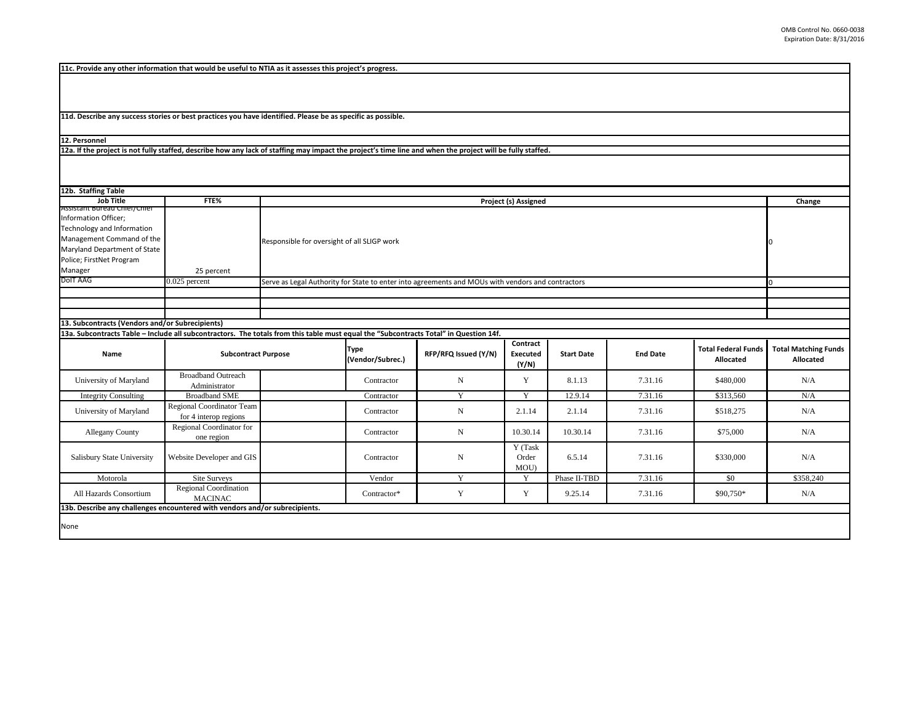**11c. Provide any other information that would be useful to NTIA as it assesses this project's progress.** 

**11d. Describe any success stories or best practices you have identified. Please be as specific as possible.**

**12. Personnel** 

**12a. If the project is not fully staffed, describe how any lack of staffing may impact the project's time line and when the project will be fully staffed.**

| 12b. Staffing Table                                                                                                                                                                    |                                                    |                                             |                                 |                                                                                                   |                               |                   |                 |                                         |                                          |
|----------------------------------------------------------------------------------------------------------------------------------------------------------------------------------------|----------------------------------------------------|---------------------------------------------|---------------------------------|---------------------------------------------------------------------------------------------------|-------------------------------|-------------------|-----------------|-----------------------------------------|------------------------------------------|
| <b>Job Title</b>                                                                                                                                                                       | FTE%                                               |                                             | Project (s) Assigned            |                                                                                                   |                               |                   |                 |                                         | Change                                   |
| Assistant Bureau Chier/Chier<br>Information Officer;<br>Technology and Information<br>Management Command of the<br>Maryland Department of State<br>Police; FirstNet Program<br>Manager | 25 percent                                         | Responsible for oversight of all SLIGP work |                                 |                                                                                                   |                               |                   |                 |                                         |                                          |
| DoIT AAG                                                                                                                                                                               | $0.025$ percent                                    |                                             |                                 | Serve as Legal Authority for State to enter into agreements and MOUs with vendors and contractors |                               |                   |                 |                                         |                                          |
|                                                                                                                                                                                        |                                                    |                                             |                                 |                                                                                                   |                               |                   |                 |                                         |                                          |
|                                                                                                                                                                                        |                                                    |                                             |                                 |                                                                                                   |                               |                   |                 |                                         |                                          |
|                                                                                                                                                                                        |                                                    |                                             |                                 |                                                                                                   |                               |                   |                 |                                         |                                          |
| 13. Subcontracts (Vendors and/or Subrecipients)                                                                                                                                        |                                                    |                                             |                                 |                                                                                                   |                               |                   |                 |                                         |                                          |
| 13a. Subcontracts Table - Include all subcontractors. The totals from this table must equal the "Subcontracts Total" in Question 14f.                                                  |                                                    |                                             |                                 |                                                                                                   |                               |                   |                 |                                         |                                          |
| Name                                                                                                                                                                                   | <b>Subcontract Purpose</b>                         |                                             | <b>Type</b><br>(Vendor/Subrec.) | RFP/RFQ Issued (Y/N)                                                                              | Contract<br>Executed<br>(Y/N) | <b>Start Date</b> | <b>End Date</b> | <b>Total Federal Funds</b><br>Allocated | <b>Total Matching Funds</b><br>Allocated |
| University of Maryland                                                                                                                                                                 | <b>Broadband Outreach</b><br>Administrator         |                                             | Contractor                      | N                                                                                                 | Y                             | 8.1.13            | 7.31.16         | \$480,000                               | N/A                                      |
| <b>Integrity Consulting</b>                                                                                                                                                            | <b>Broadband SME</b>                               |                                             | Contractor                      | Y                                                                                                 | Y                             | 12.9.14           | 7.31.16         | \$313,560                               | N/A                                      |
| University of Maryland                                                                                                                                                                 | Regional Coordinator Team<br>for 4 interop regions |                                             | Contractor                      | N                                                                                                 | 2.1.14                        | 2.1.14            | 7.31.16         | \$518,275                               | N/A                                      |
| <b>Allegany County</b>                                                                                                                                                                 | Regional Coordinator for<br>one region             |                                             | Contractor                      | N                                                                                                 | 10.30.14                      | 10.30.14          | 7.31.16         | \$75,000                                | N/A                                      |
| Salisbury State University                                                                                                                                                             | Website Developer and GIS                          |                                             | Contractor                      | N                                                                                                 | Y (Task<br>Order<br>MOU)      | 6.5.14            | 7.31.16         | \$330,000                               | N/A                                      |
| Motorola                                                                                                                                                                               | <b>Site Surveys</b>                                |                                             | Vendor                          | Y                                                                                                 | Y                             | Phase II-TBD      | 7.31.16         | \$0                                     | \$358,240                                |
| All Hazards Consortium                                                                                                                                                                 | <b>Regional Coordination</b><br><b>MACINAC</b>     |                                             | Contractor*                     | Y                                                                                                 | Y                             | 9.25.14           | 7.31.16         | \$90,750*                               | N/A                                      |
| 13b. Describe any challenges encountered with vendors and/or subrecipients.                                                                                                            |                                                    |                                             |                                 |                                                                                                   |                               |                   |                 |                                         |                                          |
| None                                                                                                                                                                                   |                                                    |                                             |                                 |                                                                                                   |                               |                   |                 |                                         |                                          |